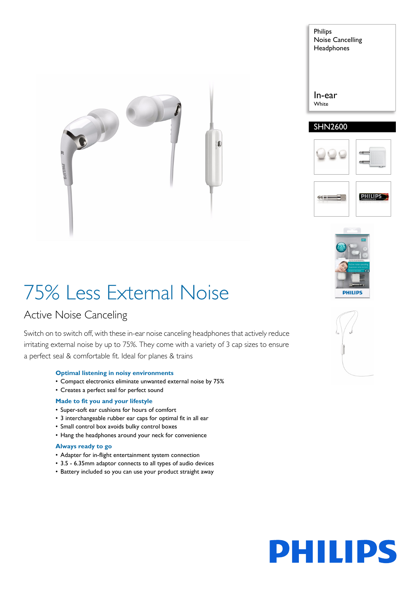

| In-ear<br>White | Philips<br><b>Noise Cancelling</b><br>Headphones |  |
|-----------------|--------------------------------------------------|--|
|                 |                                                  |  |





## 75% Less External Noise

## Active Noise Canceling

Switch on to switch off, with these in-ear noise canceling headphones that actively reduce irritating external noise by up to 75%. They come with a variety of 3 cap sizes to ensure a perfect seal & comfortable fit. Ideal for planes & trains

## **Optimal listening in noisy environments**

- Compact electronics eliminate unwanted external noise by 75%
- Creates a perfect seal for perfect sound

## **Made to fit you and your lifestyle**

- Super-soft ear cushions for hours of comfort
- 3 interchangeable rubber ear caps for optimal fit in all ear
- Small control box avoids bulky control boxes
- Hang the headphones around your neck for convenience

## **Always ready to go**

- Adapter for in-flight entertainment system connection
- 3.5 6.35mm adaptor connects to all types of audio devices
- Battery included so you can use your product straight away



# PHILIPS